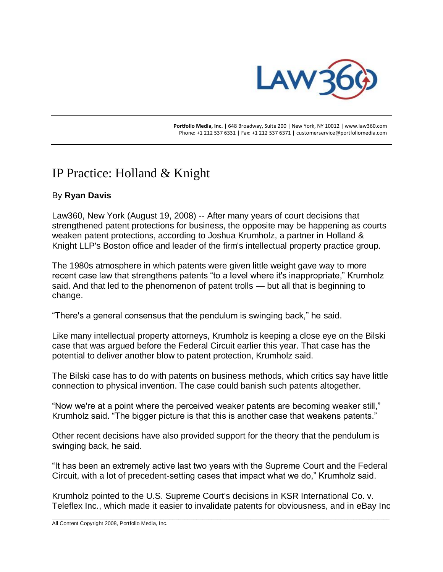

 **Portfolio Media, Inc.** | 648 Broadway, Suite 200 | New York, NY 10012 | www.law360.com Phone: +1 212 537 6331 | Fax: +1 212 537 6371 | customerservice@portfoliomedia.com

## IP Practice: Holland & Knight

## By **Ryan Davis**

Law360, New York (August 19, 2008) -- After many years of court decisions that strengthened patent protections for business, the opposite may be happening as courts weaken patent protections, according to Joshua Krumholz, a partner in Holland & Knight LLP's Boston office and leader of the firm's intellectual property practice group.

The 1980s atmosphere in which patents were given little weight gave way to more recent case law that strengthens patents "to a level where it's inappropriate," Krumholz said. And that led to the phenomenon of patent trolls — but all that is beginning to change.

"There's a general consensus that the pendulum is swinging back," he said.

Like many intellectual property attorneys, Krumholz is keeping a close eye on the Bilski case that was argued before the Federal Circuit earlier this year. That case has the potential to deliver another blow to patent protection, Krumholz said.

The Bilski case has to do with patents on business methods, which critics say have little connection to physical invention. The case could banish such patents altogether.

"Now we're at a point where the perceived weaker patents are becoming weaker still," Krumholz said. "The bigger picture is that this is another case that weakens patents."

Other recent decisions have also provided support for the theory that the pendulum is swinging back, he said.

"It has been an extremely active last two years with the Supreme Court and the Federal Circuit, with a lot of precedent-setting cases that impact what we do," Krumholz said.

Krumholz pointed to the U.S. Supreme Court's decisions in KSR International Co. v. Teleflex Inc., which made it easier to invalidate patents for obviousness, and in eBay Inc

\_\_\_\_\_\_\_\_\_\_\_\_\_\_\_\_\_\_\_\_\_\_\_\_\_\_\_\_\_\_\_\_\_\_\_\_\_\_\_\_\_\_\_\_\_\_\_\_\_\_\_\_\_\_\_\_\_\_\_\_\_\_\_\_\_\_\_\_\_\_\_\_\_\_\_\_\_\_\_\_\_\_\_\_\_\_\_\_\_\_\_\_\_\_\_\_\_\_\_\_\_\_\_\_\_\_\_\_\_\_\_\_

All Content Copyright 2008, Portfolio Media, Inc.